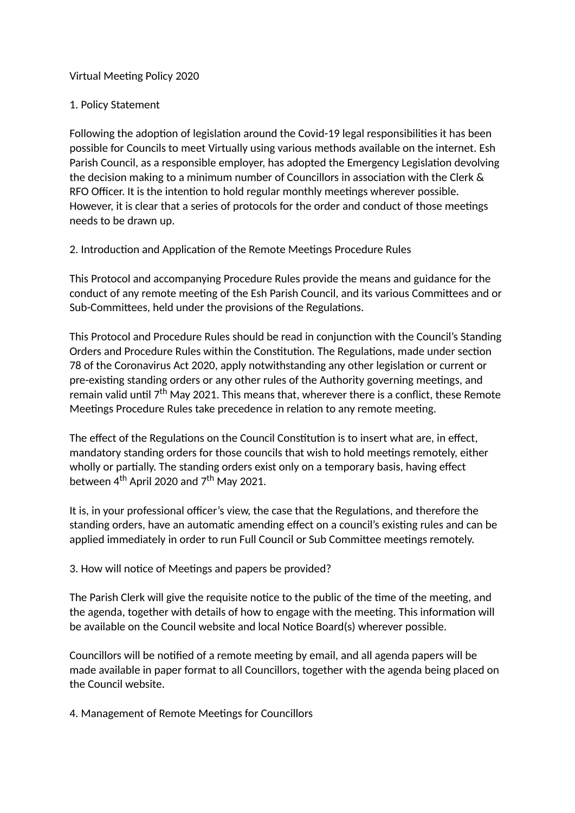## Virtual Meeting Policy 2020

## 1. Policy Statement

Following the adoption of legislation around the Covid-19 legal responsibilities it has been possible for Councils to meet Virtually using various methods available on the internet. Esh Parish Council, as a responsible employer, has adopted the Emergency Legislation devolving the decision making to a minimum number of Councillors in association with the Clerk  $\&$ RFO Officer. It is the intention to hold regular monthly meetings wherever possible. However, it is clear that a series of protocols for the order and conduct of those meetings needs to be drawn up.

2. Introduction and Application of the Remote Meetings Procedure Rules

This Protocol and accompanying Procedure Rules provide the means and guidance for the conduct of any remote meeting of the Esh Parish Council, and its various Committees and or Sub-Committees, held under the provisions of the Regulations.

This Protocol and Procedure Rules should be read in conjunction with the Council's Standing Orders and Procedure Rules within the Constitution. The Regulations, made under section 78 of the Coronavirus Act 2020, apply notwithstanding any other legislation or current or pre-existing standing orders or any other rules of the Authority governing meetings, and remain valid until  $7<sup>th</sup>$  May 2021. This means that, wherever there is a conflict, these Remote Meetings Procedure Rules take precedence in relation to any remote meeting.

The effect of the Regulations on the Council Constitution is to insert what are, in effect, mandatory standing orders for those councils that wish to hold meetings remotely, either wholly or partially. The standing orders exist only on a temporary basis, having effect between  $4^{th}$  April 2020 and  $7^{th}$  May 2021.

It is, in your professional officer's view, the case that the Regulations, and therefore the standing orders, have an automatic amending effect on a council's existing rules and can be applied immediately in order to run Full Council or Sub Committee meetings remotely.

3. How will notice of Meetings and papers be provided?

The Parish Clerk will give the requisite notice to the public of the time of the meeting, and the agenda, together with details of how to engage with the meeting. This information will be available on the Council website and local Notice Board(s) wherever possible.

Councillors will be notified of a remote meeting by email, and all agenda papers will be made available in paper format to all Councillors, together with the agenda being placed on the Council website.

4. Management of Remote Meetings for Councillors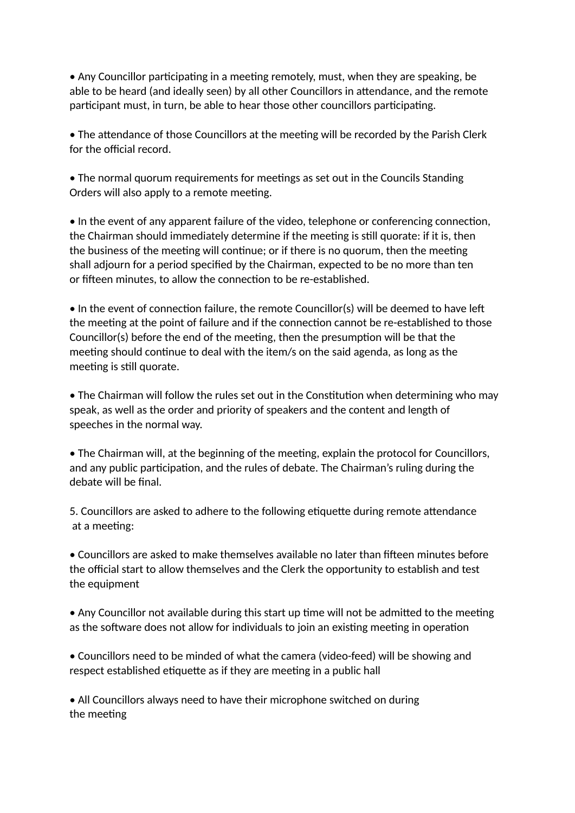• Any Councillor participating in a meeting remotely, must, when they are speaking, be able to be heard (and ideally seen) by all other Councillors in attendance, and the remote participant must, in turn, be able to hear those other councillors participating.

• The attendance of those Councillors at the meeting will be recorded by the Parish Clerk for the official record.

• The normal quorum requirements for meetings as set out in the Councils Standing Orders will also apply to a remote meeting.

• In the event of any apparent failure of the video, telephone or conferencing connection, the Chairman should immediately determine if the meeting is still quorate: if it is, then the business of the meeting will continue; or if there is no quorum, then the meeting shall adjourn for a period specified by the Chairman, expected to be no more than ten or fifteen minutes, to allow the connection to be re-established.

 $\bullet$  In the event of connection failure, the remote Councillor(s) will be deemed to have left the meeting at the point of failure and if the connection cannot be re-established to those Councillor(s) before the end of the meeting, then the presumption will be that the meeting should continue to deal with the item/s on the said agenda, as long as the meeting is still quorate.

• The Chairman will follow the rules set out in the Constitution when determining who may speak, as well as the order and priority of speakers and the content and length of speeches in the normal way.

• The Chairman will, at the beginning of the meeting, explain the protocol for Councillors, and any public participation, and the rules of debate. The Chairman's ruling during the debate will be final.

5. Councillors are asked to adhere to the following etiquette during remote attendance at a meeting:

• Councillors are asked to make themselves available no later than fifteen minutes before the official start to allow themselves and the Clerk the opportunity to establish and test the equipment

• Any Councillor not available during this start up time will not be admitted to the meeting as the software does not allow for individuals to join an existing meeting in operation

• Councillors need to be minded of what the camera (video-feed) will be showing and respect established etiquette as if they are meeting in a public hall

• All Councillors always need to have their microphone switched on during the meeting